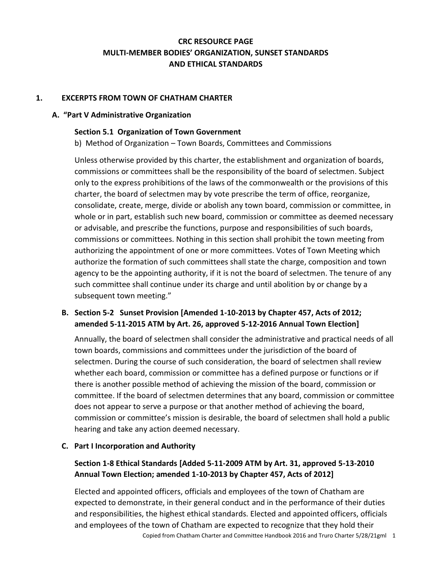# **CRC RESOURCE PAGE MULTI-MEMBER BODIES' ORGANIZATION, SUNSET STANDARDS AND ETHICAL STANDARDS**

### **1. EXCERPTS FROM TOWN OF CHATHAM CHARTER**

### **A. "Part V Administrative Organization**

### **Section 5.1 Organization of Town Government**

b) Method of Organization – Town Boards, Committees and Commissions

Unless otherwise provided by this charter, the establishment and organization of boards, commissions or committees shall be the responsibility of the board of selectmen. Subject only to the express prohibitions of the laws of the commonwealth or the provisions of this charter, the board of selectmen may by vote prescribe the term of office, reorganize, consolidate, create, merge, divide or abolish any town board, commission or committee, in whole or in part, establish such new board, commission or committee as deemed necessary or advisable, and prescribe the functions, purpose and responsibilities of such boards, commissions or committees. Nothing in this section shall prohibit the town meeting from authorizing the appointment of one or more committees. Votes of Town Meeting which authorize the formation of such committees shall state the charge, composition and town agency to be the appointing authority, if it is not the board of selectmen. The tenure of any such committee shall continue under its charge and until abolition by or change by a subsequent town meeting."

## **B. Section 5-2 Sunset Provision [Amended 1-10-2013 by Chapter 457, Acts of 2012; amended 5-11-2015 ATM by Art. 26, approved 5-12-2016 Annual Town Election]**

Annually, the board of selectmen shall consider the administrative and practical needs of all town boards, commissions and committees under the jurisdiction of the board of selectmen. During the course of such consideration, the board of selectmen shall review whether each board, commission or committee has a defined purpose or functions or if there is another possible method of achieving the mission of the board, commission or committee. If the board of selectmen determines that any board, commission or committee does not appear to serve a purpose or that another method of achieving the board, commission or committee's mission is desirable, the board of selectmen shall hold a public hearing and take any action deemed necessary.

### **C. Part I Incorporation and Authority**

## **Section 1-8 Ethical Standards [Added 5-11-2009 ATM by Art. 31, approved 5-13-2010 Annual Town Election; amended 1-10-2013 by Chapter 457, Acts of 2012]**

Elected and appointed officers, officials and employees of the town of Chatham are expected to demonstrate, in their general conduct and in the performance of their duties and responsibilities, the highest ethical standards. Elected and appointed officers, officials and employees of the town of Chatham are expected to recognize that they hold their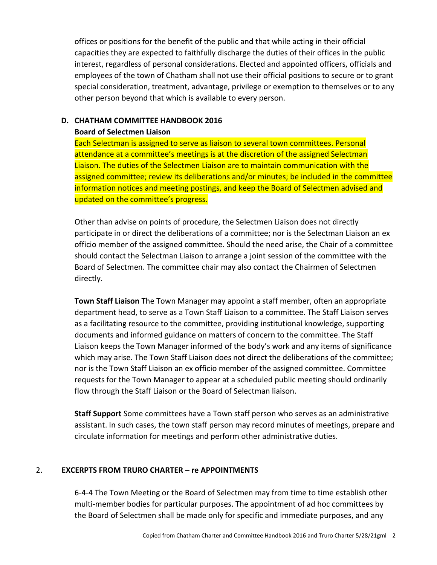offices or positions for the benefit of the public and that while acting in their official capacities they are expected to faithfully discharge the duties of their offices in the public interest, regardless of personal considerations. Elected and appointed officers, officials and employees of the town of Chatham shall not use their official positions to secure or to grant special consideration, treatment, advantage, privilege or exemption to themselves or to any other person beyond that which is available to every person.

### **D. CHATHAM COMMITTEE HANDBOOK 2016 Board of Selectmen Liaison**

Each Selectman is assigned to serve as liaison to several town committees. Personal attendance at a committee's meetings is at the discretion of the assigned Selectman Liaison. The duties of the Selectmen Liaison are to maintain communication with the assigned committee; review its deliberations and/or minutes; be included in the committee information notices and meeting postings, and keep the Board of Selectmen advised and updated on the committee's progress.

Other than advise on points of procedure, the Selectmen Liaison does not directly participate in or direct the deliberations of a committee; nor is the Selectman Liaison an ex officio member of the assigned committee. Should the need arise, the Chair of a committee should contact the Selectman Liaison to arrange a joint session of the committee with the Board of Selectmen. The committee chair may also contact the Chairmen of Selectmen directly.

**Town Staff Liaison** The Town Manager may appoint a staff member, often an appropriate department head, to serve as a Town Staff Liaison to a committee. The Staff Liaison serves as a facilitating resource to the committee, providing institutional knowledge, supporting documents and informed guidance on matters of concern to the committee. The Staff Liaison keeps the Town Manager informed of the body's work and any items of significance which may arise. The Town Staff Liaison does not direct the deliberations of the committee; nor is the Town Staff Liaison an ex officio member of the assigned committee. Committee requests for the Town Manager to appear at a scheduled public meeting should ordinarily flow through the Staff Liaison or the Board of Selectman liaison.

**Staff Support** Some committees have a Town staff person who serves as an administrative assistant. In such cases, the town staff person may record minutes of meetings, prepare and circulate information for meetings and perform other administrative duties.

### 2. **EXCERPTS FROM TRURO CHARTER – re APPOINTMENTS**

6-4-4 The Town Meeting or the Board of Selectmen may from time to time establish other multi-member bodies for particular purposes. The appointment of ad hoc committees by the Board of Selectmen shall be made only for specific and immediate purposes, and any